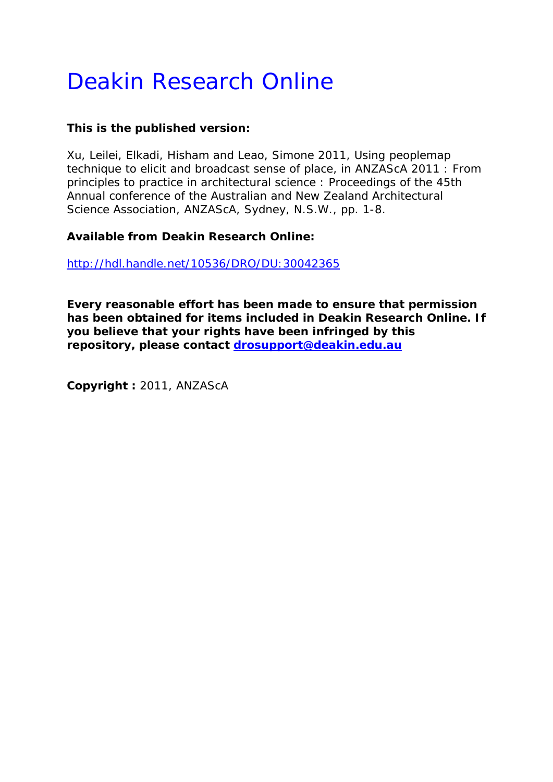# Deakin Research Online

# **This is the published version:**

Xu, Leilei, Elkadi, Hisham and Leao, Simone 2011, Using peoplemap technique to elicit and broadcast sense of place*, in ANZAScA 2011 : From principles to practice in architectural science : Proceedings of the 45th Annual conference of the Australian and New Zealand Architectural Science Association*, ANZAScA, Sydney, N.S.W., pp. 1-8.

# **Available from Deakin Research Online:**

<http://hdl.handle.net/10536/DRO/DU:30042365>

**Every reasonable effort has been made to ensure that permission has been obtained for items included in Deakin Research Online. If you believe that your rights have been infringed by this repository, please contact [drosupport@deakin.edu.au](mailto:drosupport@deakin.edu.au)** 

**Copyright :** 2011, ANZAScA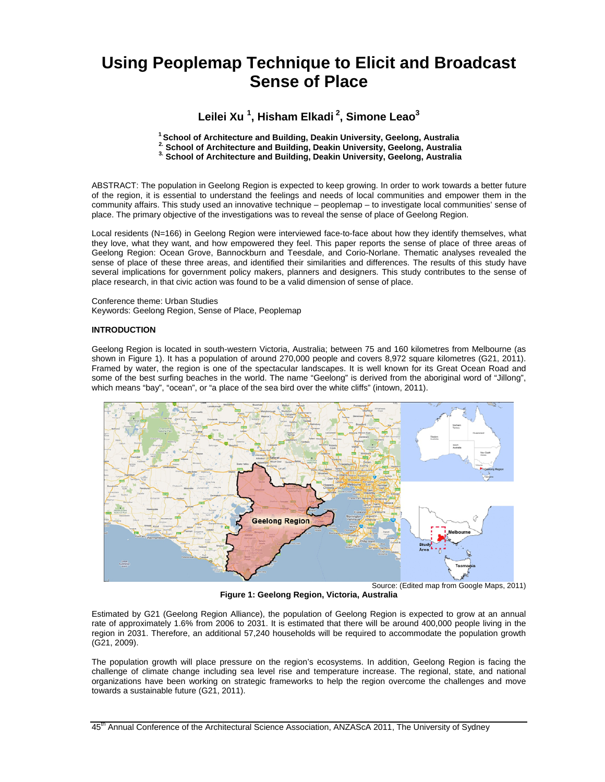# **Using Peoplemap Technique to Elicit and Broadcast Sense of Place**

### **Leilei Xu 1 , Hisham Elkadi 2, Simone Leao3**

<sup>1</sup> School of Architecture and Building, Deakin University, Geelong, Australia<br><sup>2</sup> School of Architecture and Building, Deakin University, Geelong, Australia<br><sup>3</sup> School of Architecture and Building, Deakin University, Gee

ABSTRACT: The population in Geelong Region is expected to keep growing. In order to work towards a better future of the region, it is essential to understand the feelings and needs of local communities and empower them in the community affairs. This study used an innovative technique – peoplemap – to investigate local communities' sense of place. The primary objective of the investigations was to reveal the sense of place of Geelong Region.

Local residents (N=166) in Geelong Region were interviewed face-to-face about how they identify themselves, what they love, what they want, and how empowered they feel. This paper reports the sense of place of three areas of Geelong Region: Ocean Grove, Bannockburn and Teesdale, and Corio-Norlane. Thematic analyses revealed the sense of place of these three areas, and identified their similarities and differences. The results of this study have several implications for government policy makers, planners and designers. This study contributes to the sense of place research, in that civic action was found to be a valid dimension of sense of place.

#### Conference theme: Urban Studies Keywords: Geelong Region, Sense of Place, Peoplemap

#### **INTRODUCTION**

Geelong Region is located in south-western Victoria, Australia; between 75 and 160 kilometres from Melbourne (as shown in Figure 1). It has a population of around 270,000 people and covers 8,972 square kilometres (G21, 2011). Framed by water, the region is one of the spectacular landscapes. It is well known for its Great Ocean Road and some of the best surfing beaches in the world. The name "Geelong" is derived from the aboriginal word of "Jillong", which means "bay", "ocean", or "a place of the sea bird over the white cliffs" (intown, 2011).



**Figure 1: Geelong Region, Victoria, Australia** 

Estimated by G21 (Geelong Region Alliance), the population of Geelong Region is expected to grow at an annual rate of approximately 1.6% from 2006 to 2031. It is estimated that there will be around 400,000 people living in the region in 2031. Therefore, an additional 57,240 households will be required to accommodate the population growth (G21, 2009).

The population growth will place pressure on the region's ecosystems. In addition, Geelong Region is facing the challenge of climate change including sea level rise and temperature increase. The regional, state, and national organizations have been working on strategic frameworks to help the region overcome the challenges and move towards a sustainable future (G21, 2011).

45<sup>th</sup> Annual Conference of the Architectural Science Association, ANZAScA 2011, The University of Sydney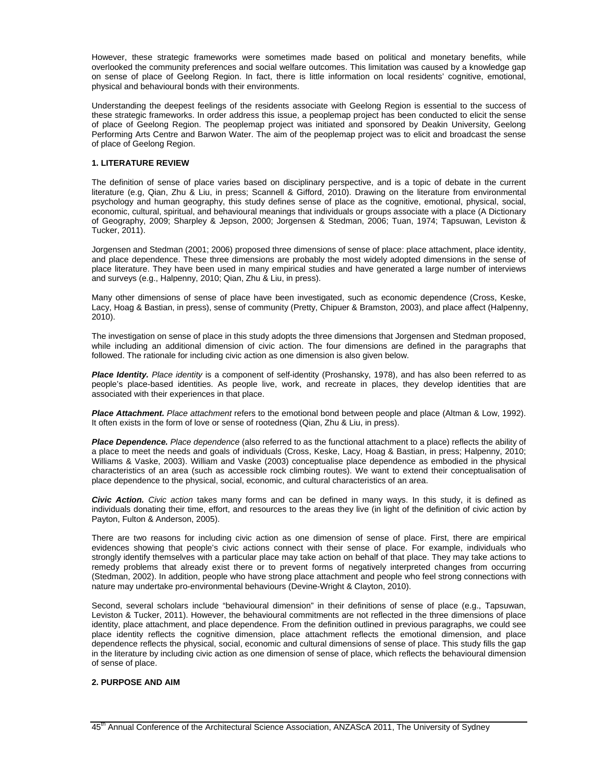However, these strategic frameworks were sometimes made based on political and monetary benefits, while overlooked the community preferences and social welfare outcomes. This limitation was caused by a knowledge gap on sense of place of Geelong Region. In fact, there is little information on local residents' cognitive, emotional, physical and behavioural bonds with their environments.

Understanding the deepest feelings of the residents associate with Geelong Region is essential to the success of these strategic frameworks. In order address this issue, a peoplemap project has been conducted to elicit the sense of place of Geelong Region. The peoplemap project was initiated and sponsored by Deakin University, Geelong Performing Arts Centre and Barwon Water. The aim of the peoplemap project was to elicit and broadcast the sense of place of Geelong Region.

#### **1. LITERATURE REVIEW**

The definition of sense of place varies based on disciplinary perspective, and is a topic of debate in the current literature (e.g, Qian, Zhu & Liu, in press; Scannell & Gifford, 2010). Drawing on the literature from environmental psychology and human geography, this study defines sense of place as the cognitive, emotional, physical, social, economic, cultural, spiritual, and behavioural meanings that individuals or groups associate with a place (A Dictionary of Geography, 2009; Sharpley & Jepson, 2000; Jorgensen & Stedman, 2006; Tuan, 1974; Tapsuwan, Leviston & Tucker, 2011).

Jorgensen and Stedman (2001; 2006) proposed three dimensions of sense of place: place attachment, place identity, and place dependence. These three dimensions are probably the most widely adopted dimensions in the sense of place literature. They have been used in many empirical studies and have generated a large number of interviews and surveys (e.g., Halpenny, 2010; Qian, Zhu & Liu, in press).

Many other dimensions of sense of place have been investigated, such as economic dependence (Cross, Keske, Lacy, Hoag & Bastian, in press), sense of community (Pretty, Chipuer & Bramston, 2003), and place affect (Halpenny, 2010).

The investigation on sense of place in this study adopts the three dimensions that Jorgensen and Stedman proposed, while including an additional dimension of civic action. The four dimensions are defined in the paragraphs that followed. The rationale for including civic action as one dimension is also given below.

*Place Identity. Place identity* is a component of self-identity (Proshansky, 1978), and has also been referred to as people's place-based identities. As people live, work, and recreate in places, they develop identities that are associated with their experiences in that place.

*Place Attachment. Place attachment* refers to the emotional bond between people and place (Altman & Low, 1992). It often exists in the form of love or sense of rootedness (Qian, Zhu & Liu, in press).

*Place Dependence. Place dependence* (also referred to as the functional attachment to a place) reflects the ability of a place to meet the needs and goals of individuals (Cross, Keske, Lacy, Hoag & Bastian, in press; Halpenny, 2010; Williams & Vaske, 2003). William and Vaske (2003) conceptualise place dependence as embodied in the physical characteristics of an area (such as accessible rock climbing routes). We want to extend their conceptualisation of place dependence to the physical, social, economic, and cultural characteristics of an area.

*Civic Action. Civic action* takes many forms and can be defined in many ways. In this study, it is defined as individuals donating their time, effort, and resources to the areas they live (in light of the definition of civic action by Payton, Fulton & Anderson, 2005).

There are two reasons for including civic action as one dimension of sense of place. First, there are empirical evidences showing that people's civic actions connect with their sense of place. For example, individuals who strongly identify themselves with a particular place may take action on behalf of that place. They may take actions to remedy problems that already exist there or to prevent forms of negatively interpreted changes from occurring (Stedman, 2002). In addition, people who have strong place attachment and people who feel strong connections with nature may undertake pro-environmental behaviours (Devine-Wright & Clayton, 2010).

Second, several scholars include "behavioural dimension" in their definitions of sense of place (e.g., Tapsuwan, Leviston & Tucker, 2011). However, the behavioural commitments are not reflected in the three dimensions of place identity, place attachment, and place dependence. From the definition outlined in previous paragraphs, we could see place identity reflects the cognitive dimension, place attachment reflects the emotional dimension, and place dependence reflects the physical, social, economic and cultural dimensions of sense of place. This study fills the gap in the literature by including civic action as one dimension of sense of place, which reflects the behavioural dimension of sense of place.

#### **2. PURPOSE AND AIM**

<sup>45&</sup>lt;sup>th</sup> Annual Conference of the Architectural Science Association, ANZAScA 2011, The University of Sydney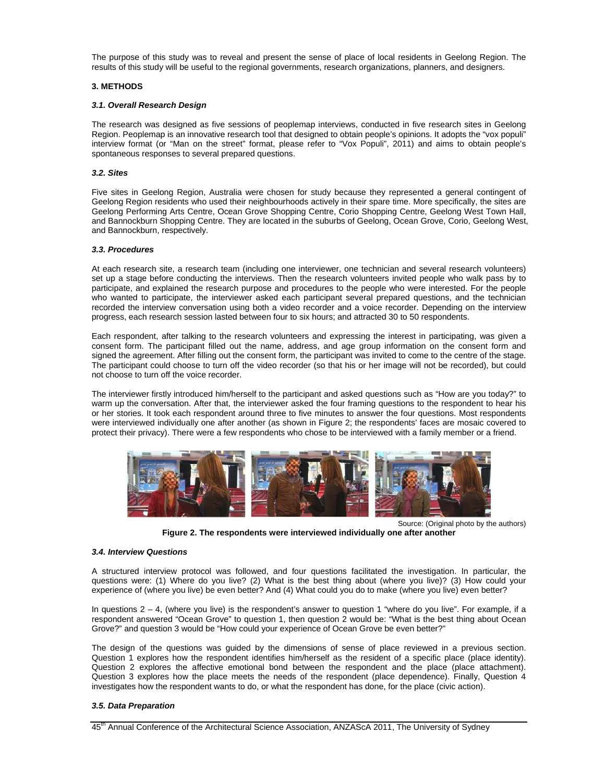The purpose of this study was to reveal and present the sense of place of local residents in Geelong Region. The results of this study will be useful to the regional governments, research organizations, planners, and designers.

#### **3. METHODS**

#### *3.1. Overall Research Design*

The research was designed as five sessions of peoplemap interviews, conducted in five research sites in Geelong Region. Peoplemap is an innovative research tool that designed to obtain people's opinions. It adopts the "vox populi" interview format (or "Man on the street" format, please refer to "Vox Populi", 2011) and aims to obtain people's spontaneous responses to several prepared questions.

#### *3.2. Sites*

Five sites in Geelong Region, Australia were chosen for study because they represented a general contingent of Geelong Region residents who used their neighbourhoods actively in their spare time. More specifically, the sites are Geelong Performing Arts Centre, Ocean Grove Shopping Centre, Corio Shopping Centre, Geelong West Town Hall, and Bannockburn Shopping Centre. They are located in the suburbs of Geelong, Ocean Grove, Corio, Geelong West, and Bannockburn, respectively.

#### *3.3. Procedures*

At each research site, a research team (including one interviewer, one technician and several research volunteers) set up a stage before conducting the interviews. Then the research volunteers invited people who walk pass by to participate, and explained the research purpose and procedures to the people who were interested. For the people who wanted to participate, the interviewer asked each participant several prepared questions, and the technician recorded the interview conversation using both a video recorder and a voice recorder. Depending on the interview progress, each research session lasted between four to six hours; and attracted 30 to 50 respondents.

Each respondent, after talking to the research volunteers and expressing the interest in participating, was given a consent form. The participant filled out the name, address, and age group information on the consent form and signed the agreement. After filling out the consent form, the participant was invited to come to the centre of the stage. The participant could choose to turn off the video recorder (so that his or her image will not be recorded), but could not choose to turn off the voice recorder.

The interviewer firstly introduced him/herself to the participant and asked questions such as "How are you today?" to warm up the conversation. After that, the interviewer asked the four framing questions to the respondent to hear his or her stories. It took each respondent around three to five minutes to answer the four questions. Most respondents were interviewed individually one after another (as shown in Figure 2; the respondents' faces are mosaic covered to protect their privacy). There were a few respondents who chose to be interviewed with a family member or a friend.



Source: (Original photo by the authors)

**Figure 2. The respondents were interviewed individually one after another** 

#### *3.4. Interview Questions*

A structured interview protocol was followed, and four questions facilitated the investigation. In particular, the questions were: (1) Where do you live? (2) What is the best thing about (where you live)? (3) How could your experience of (where you live) be even better? And (4) What could you do to make (where you live) even better?

In questions  $2 - 4$ , (where you live) is the respondent's answer to question 1 "where do you live". For example, if a respondent answered "Ocean Grove" to question 1, then question 2 would be: "What is the best thing about Ocean Grove?" and question 3 would be "How could your experience of Ocean Grove be even better?"

The design of the questions was guided by the dimensions of sense of place reviewed in a previous section. Question 1 explores how the respondent identifies him/herself as the resident of a specific place (place identity). Question 2 explores the affective emotional bond between the respondent and the place (place attachment). Question 3 explores how the place meets the needs of the respondent (place dependence). Finally, Question 4 investigates how the respondent wants to do, or what the respondent has done, for the place (civic action).

#### *3.5. Data Preparation*

45<sup>th</sup> Annual Conference of the Architectural Science Association, ANZAScA 2011, The University of Sydney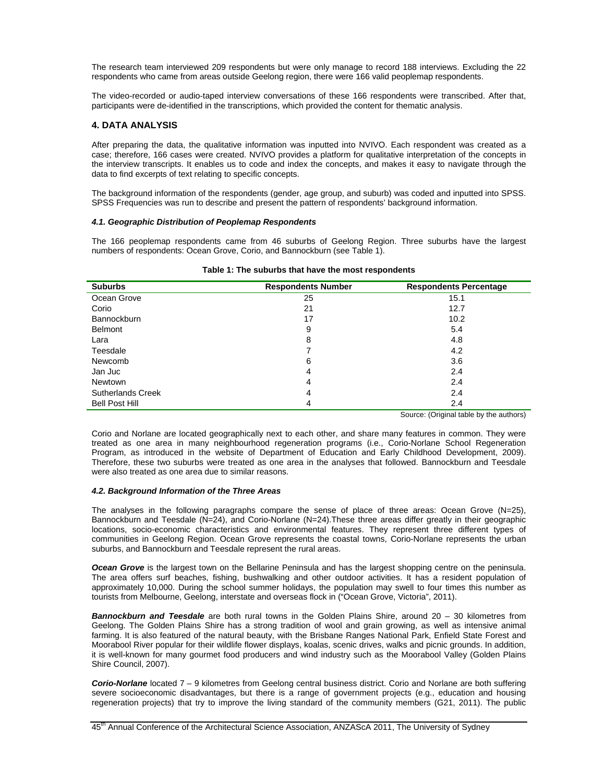The research team interviewed 209 respondents but were only manage to record 188 interviews. Excluding the 22 respondents who came from areas outside Geelong region, there were 166 valid peoplemap respondents.

The video-recorded or audio-taped interview conversations of these 166 respondents were transcribed. After that, participants were de-identified in the transcriptions, which provided the content for thematic analysis.

#### **4. DATA ANALYSIS**

After preparing the data, the qualitative information was inputted into NVIVO. Each respondent was created as a case; therefore, 166 cases were created. NVIVO provides a platform for qualitative interpretation of the concepts in the interview transcripts. It enables us to code and index the concepts, and makes it easy to navigate through the data to find excerpts of text relating to specific concepts.

The background information of the respondents (gender, age group, and suburb) was coded and inputted into SPSS. SPSS Frequencies was run to describe and present the pattern of respondents' background information.

#### *4.1. Geographic Distribution of Peoplemap Respondents*

The 166 peoplemap respondents came from 46 suburbs of Geelong Region. Three suburbs have the largest numbers of respondents: Ocean Grove, Corio, and Bannockburn (see Table 1).

| <b>Suburbs</b>           | <b>Respondents Number</b> | <b>Respondents Percentage</b> |
|--------------------------|---------------------------|-------------------------------|
| Ocean Grove              | 25                        | 15.1                          |
| Corio                    | 21                        | 12.7                          |
| <b>Bannockburn</b>       | 17                        | 10.2                          |
| <b>Belmont</b>           | 9                         | 5.4                           |
| Lara                     | 8                         | 4.8                           |
| Teesdale                 |                           | 4.2                           |
| Newcomb                  | 6                         | 3.6                           |
| Jan Juc                  | 4                         | 2.4                           |
| <b>Newtown</b>           | 4                         | 2.4                           |
| <b>Sutherlands Creek</b> | 4                         | 2.4                           |
| <b>Bell Post Hill</b>    | 4                         | 2.4                           |

| Table 1: The suburbs that have the most respondents |  |
|-----------------------------------------------------|--|
|-----------------------------------------------------|--|

Source: (Original table by the authors)

Corio and Norlane are located geographically next to each other, and share many features in common. They were treated as one area in many neighbourhood regeneration programs (i.e., Corio-Norlane School Regeneration Program, as introduced in the website of Department of Education and Early Childhood Development, 2009). Therefore, these two suburbs were treated as one area in the analyses that followed. Bannockburn and Teesdale were also treated as one area due to similar reasons.

#### *4.2. Background Information of the Three Areas*

The analyses in the following paragraphs compare the sense of place of three areas: Ocean Grove (N=25), Bannockburn and Teesdale (N=24), and Corio-Norlane (N=24).These three areas differ greatly in their geographic locations, socio-economic characteristics and environmental features. They represent three different types of communities in Geelong Region. Ocean Grove represents the coastal towns, Corio-Norlane represents the urban suburbs, and Bannockburn and Teesdale represent the rural areas.

**Ocean Grove** is the largest town on the Bellarine Peninsula and has the largest shopping centre on the peninsula. The area offers surf beaches, fishing, bushwalking and other outdoor activities. It has a resident population of approximately 10,000. During the school summer holidays, the population may swell to four times this number as tourists from Melbourne, Geelong, interstate and overseas flock in ("Ocean Grove, Victoria", 2011).

*Bannockburn and Teesdale* are both rural towns in the Golden Plains Shire, around 20 – 30 kilometres from Geelong. The Golden Plains Shire has a strong tradition of wool and grain growing, as well as intensive animal farming. It is also featured of the natural beauty, with the Brisbane Ranges National Park, Enfield State Forest and Moorabool River popular for their wildlife flower displays, koalas, scenic drives, walks and picnic grounds. In addition, it is well-known for many gourmet food producers and wind industry such as the Moorabool Valley (Golden Plains Shire Council, 2007).

*Corio-Norlane* located 7 – 9 kilometres from Geelong central business district. Corio and Norlane are both suffering severe socioeconomic disadvantages, but there is a range of government projects (e.g., education and housing regeneration projects) that try to improve the living standard of the community members (G21, 2011). The public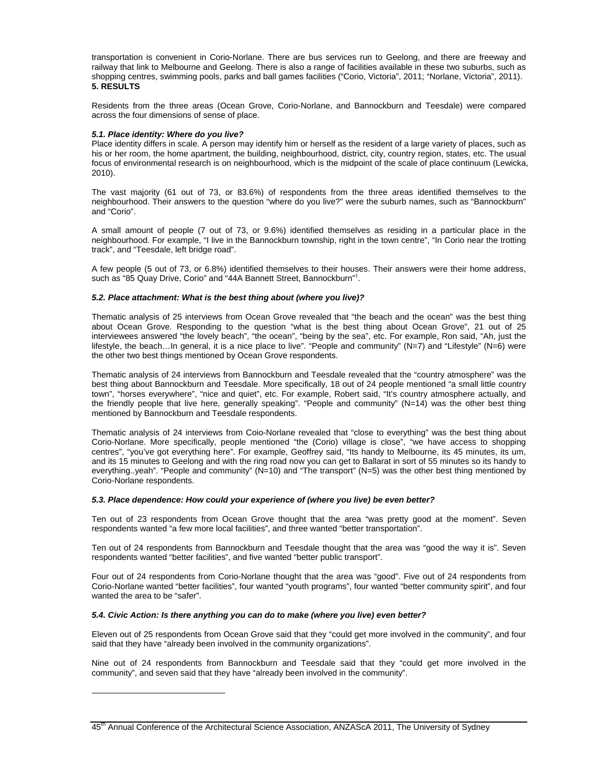transportation is convenient in Corio-Norlane. There are bus services run to Geelong, and there are freeway and railway that link to Melbourne and Geelong. There is also a range of facilities available in these two suburbs, such as shopping centres, swimming pools, parks and ball games facilities ("Corio, Victoria", 2011; "Norlane, Victoria", 2011). **5. RESULTS** 

Residents from the three areas (Ocean Grove, Corio-Norlane, and Bannockburn and Teesdale) were compared across the four dimensions of sense of place.

#### *5.1. Place identity: Where do you live?*

Place identity differs in scale. A person may identify him or herself as the resident of a large variety of places, such as his or her room, the home apartment, the building, neighbourhood, district, city, country region, states, etc. The usual focus of environmental research is on neighbourhood, which is the midpoint of the scale of place continuum (Lewicka, 2010).

The vast majority (61 out of 73, or 83.6%) of respondents from the three areas identified themselves to the neighbourhood. Their answers to the question "where do you live?" were the suburb names, such as "Bannockburn" and "Corio".

A small amount of people (7 out of 73, or 9.6%) identified themselves as residing in a particular place in the neighbourhood. For example, "I live in the Bannockburn township, right in the town centre", "In Corio near the trotting track", and "Teesdale, left bridge road".

A few people (5 out of 73, or 6.8%) identified themselves to their houses. Their answers were their home address, such as "85 Quay Drive, Corio" and "44A Bannett Street, Bannockburn"<sup>1</sup>.

#### *5.2. Place attachment: What is the best thing about (where you live)?*

Thematic analysis of 25 interviews from Ocean Grove revealed that "the beach and the ocean" was the best thing about Ocean Grove. Responding to the question "what is the best thing about Ocean Grove", 21 out of 25 interviewees answered "the lovely beach", "the ocean", "being by the sea", etc. For example, Ron said, "Ah, just the lifestyle, the beach…In general, it is a nice place to live". "People and community" (N=7) and "Lifestyle" (N=6) were the other two best things mentioned by Ocean Grove respondents.

Thematic analysis of 24 interviews from Bannockburn and Teesdale revealed that the "country atmosphere" was the best thing about Bannockburn and Teesdale. More specifically, 18 out of 24 people mentioned "a small little country town", "horses everywhere", "nice and quiet", etc. For example, Robert said, "It's country atmosphere actually, and the friendly people that live here, generally speaking". "People and community" (N=14) was the other best thing mentioned by Bannockburn and Teesdale respondents.

Thematic analysis of 24 interviews from Coio-Norlane revealed that "close to everything" was the best thing about Corio-Norlane. More specifically, people mentioned "the (Corio) village is close", "we have access to shopping centres", "you've got everything here". For example, Geoffrey said, "Its handy to Melbourne, its 45 minutes, its um, and its 15 minutes to Geelong and with the ring road now you can get to Ballarat in sort of 55 minutes so its handy to everything..yeah". "People and community" (N=10) and "The transport" (N=5) was the other best thing mentioned by Corio-Norlane respondents.

#### *5.3. Place dependence: How could your experience of (where you live) be even better?*

Ten out of 23 respondents from Ocean Grove thought that the area "was pretty good at the moment". Seven respondents wanted "a few more local facilities", and three wanted "better transportation".

Ten out of 24 respondents from Bannockburn and Teesdale thought that the area was "good the way it is". Seven respondents wanted "better facilities", and five wanted "better public transport".

Four out of 24 respondents from Corio-Norlane thought that the area was "good". Five out of 24 respondents from Corio-Norlane wanted "better facilities", four wanted "youth programs", four wanted "better community spirit", and four wanted the area to be "safer".

#### *5.4. Civic Action: Is there anything you can do to make (where you live) even better?*

 $\overline{a}$ 

Eleven out of 25 respondents from Ocean Grove said that they "could get more involved in the community", and four said that they have "already been involved in the community organizations".

Nine out of 24 respondents from Bannockburn and Teesdale said that they "could get more involved in the community", and seven said that they have "already been involved in the community".

<sup>45&</sup>lt;sup>th</sup> Annual Conference of the Architectural Science Association, ANZAScA 2011, The University of Sydney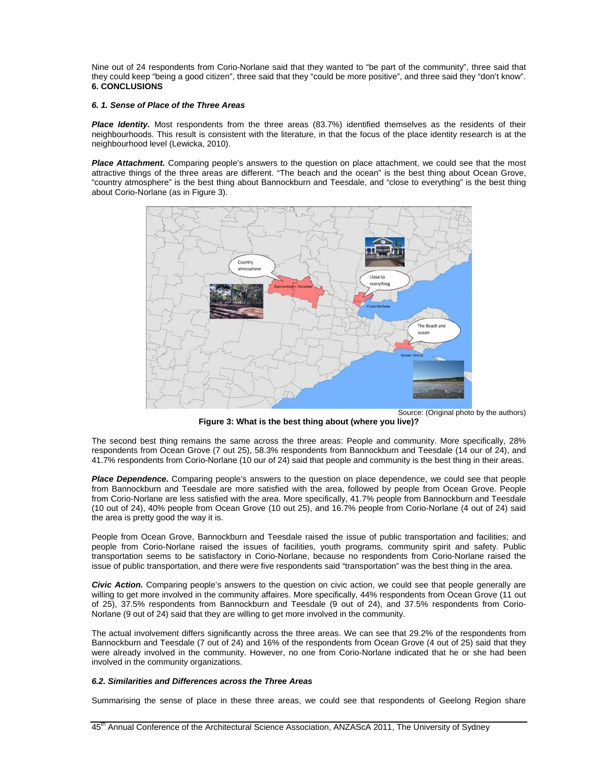Nine out of 24 respondents from Corio-Norlane said that they wanted to "be part of the community", three said that they could keep "being a good citizen", three said that they "could be more positive", and three said they "don't know". **6. CONCLUSIONS** 

#### *6. 1. Sense of Place of the Three Areas*

*Place Identity.* Most respondents from the three areas (83.7%) identified themselves as the residents of their neighbourhoods. This result is consistent with the literature, in that the focus of the place identity research is at the neighbourhood level (Lewicka, 2010).

*Place Attachment.* Comparing people's answers to the question on place attachment, we could see that the most attractive things of the three areas are different. "The beach and the ocean" is the best thing about Ocean Grove, "country atmosphere" is the best thing about Bannockburn and Teesdale, and "close to everything" is the best thing about Corio-Norlane (as in Figure 3).



**Figure 3: What is the best thing about (where you live)?** 

The second best thing remains the same across the three areas: People and community. More specifically, 28% respondents from Ocean Grove (7 out 25), 58.3% respondents from Bannockburn and Teesdale (14 our of 24), and 41.7% respondents from Corio-Norlane (10 our of 24) said that people and community is the best thing in their areas.

*Place Dependence.* Comparing people's answers to the question on place dependence, we could see that people from Bannockburn and Teesdale are more satisfied with the area, followed by people from Ocean Grove. People from Corio-Norlane are less satisfied with the area. More specifically, 41.7% people from Bannockburn and Teesdale (10 out of 24), 40% people from Ocean Grove (10 out 25), and 16.7% people from Corio-Norlane (4 out of 24) said the area is pretty good the way it is.

People from Ocean Grove, Bannockburn and Teesdale raised the issue of public transportation and facilities; and people from Corio-Norlane raised the issues of facilities, youth programs, community spirit and safety. Public transportation seems to be satisfactory in Corio-Norlane, because no respondents from Corio-Norlane raised the issue of public transportation, and there were five respondents said "transportation" was the best thing in the area.

*Civic Action.* Comparing people's answers to the question on civic action, we could see that people generally are willing to get more involved in the community affaires. More specifically, 44% respondents from Ocean Grove (11 out of 25), 37.5% respondents from Bannockburn and Teesdale (9 out of 24), and 37.5% respondents from Corio-Norlane (9 out of 24) said that they are willing to get more involved in the community.

The actual involvement differs significantly across the three areas. We can see that 29.2% of the respondents from Bannockburn and Teesdale (7 out of 24) and 16% of the respondents from Ocean Grove (4 out of 25) said that they were already involved in the community. However, no one from Corio-Norlane indicated that he or she had been involved in the community organizations.

#### *6.2. Similarities and Differences across the Three Areas*

Summarising the sense of place in these three areas, we could see that respondents of Geelong Region share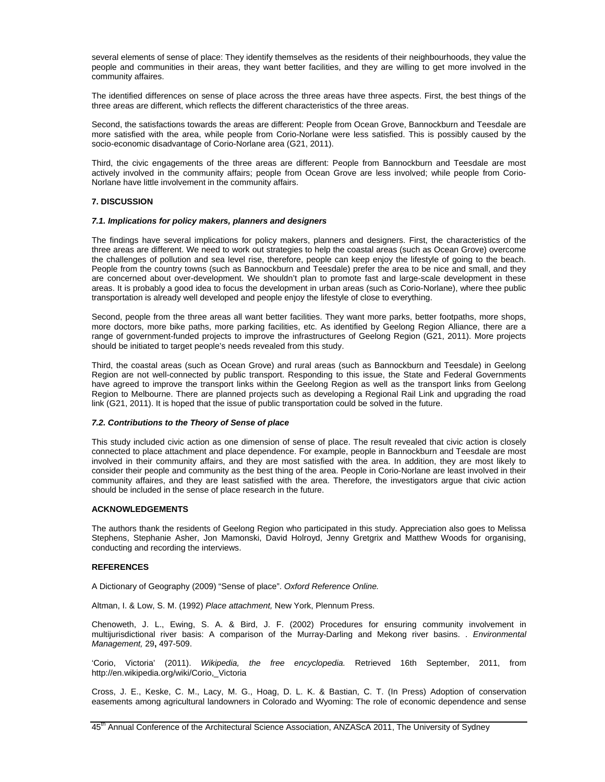several elements of sense of place: They identify themselves as the residents of their neighbourhoods, they value the people and communities in their areas, they want better facilities, and they are willing to get more involved in the community affaires.

The identified differences on sense of place across the three areas have three aspects. First, the best things of the three areas are different, which reflects the different characteristics of the three areas.

Second, the satisfactions towards the areas are different: People from Ocean Grove, Bannockburn and Teesdale are more satisfied with the area, while people from Corio-Norlane were less satisfied. This is possibly caused by the socio-economic disadvantage of Corio-Norlane area (G21, 2011).

Third, the civic engagements of the three areas are different: People from Bannockburn and Teesdale are most actively involved in the community affairs; people from Ocean Grove are less involved; while people from Corio-Norlane have little involvement in the community affairs.

#### **7. DISCUSSION**

#### *7.1. Implications for policy makers, planners and designers*

The findings have several implications for policy makers, planners and designers. First, the characteristics of the three areas are different. We need to work out strategies to help the coastal areas (such as Ocean Grove) overcome the challenges of pollution and sea level rise, therefore, people can keep enjoy the lifestyle of going to the beach. People from the country towns (such as Bannockburn and Teesdale) prefer the area to be nice and small, and they are concerned about over-development. We shouldn't plan to promote fast and large-scale development in these areas. It is probably a good idea to focus the development in urban areas (such as Corio-Norlane), where thee public transportation is already well developed and people enjoy the lifestyle of close to everything.

Second, people from the three areas all want better facilities. They want more parks, better footpaths, more shops, more doctors, more bike paths, more parking facilities, etc. As identified by Geelong Region Alliance, there are a range of government-funded projects to improve the infrastructures of Geelong Region (G21, 2011). More projects should be initiated to target people's needs revealed from this study.

Third, the coastal areas (such as Ocean Grove) and rural areas (such as Bannockburn and Teesdale) in Geelong Region are not well-connected by public transport. Responding to this issue, the State and Federal Governments have agreed to improve the transport links within the Geelong Region as well as the transport links from Geelong Region to Melbourne. There are planned projects such as developing a Regional Rail Link and upgrading the road link (G21, 2011). It is hoped that the issue of public transportation could be solved in the future.

#### *7.2. Contributions to the Theory of Sense of place*

This study included civic action as one dimension of sense of place. The result revealed that civic action is closely connected to place attachment and place dependence. For example, people in Bannockburn and Teesdale are most involved in their community affairs, and they are most satisfied with the area. In addition, they are most likely to consider their people and community as the best thing of the area. People in Corio-Norlane are least involved in their community affaires, and they are least satisfied with the area. Therefore, the investigators argue that civic action should be included in the sense of place research in the future.

#### **ACKNOWLEDGEMENTS**

The authors thank the residents of Geelong Region who participated in this study. Appreciation also goes to Melissa Stephens, Stephanie Asher, Jon Mamonski, David Holroyd, Jenny Gretgrix and Matthew Woods for organising, conducting and recording the interviews.

#### **REFERENCES**

A Dictionary of Geography (2009) "Sense of place". *Oxford Reference Online.* 

Altman, I. & Low, S. M. (1992) *Place attachment,* New York, Plennum Press.

Chenoweth, J. L., Ewing, S. A. & Bird, J. F. (2002) Procedures for ensuring community involvement in multijurisdictional river basis: A comparison of the Murray-Darling and Mekong river basins. . *Environmental Management,* 29**,** 497-509.

'Corio, Victoria' (2011). *Wikipedia, the free encyclopedia.* Retrieved 16th September, 2011, from http://en.wikipedia.org/wiki/Corio, Victoria

Cross, J. E., Keske, C. M., Lacy, M. G., Hoag, D. L. K. & Bastian, C. T. (In Press) Adoption of conservation easements among agricultural landowners in Colorado and Wyoming: The role of economic dependence and sense